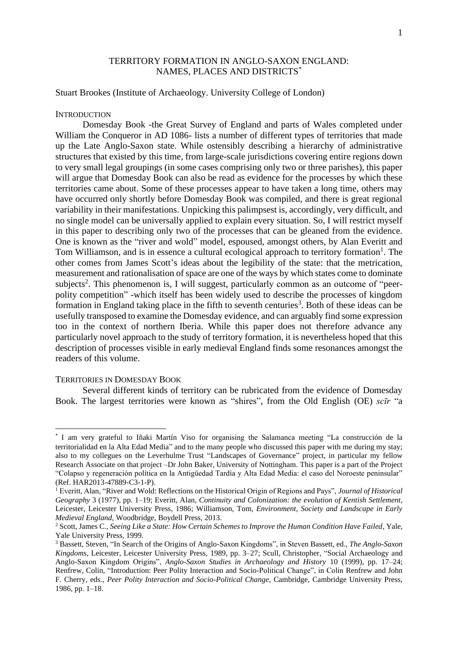# TERRITORY FORMATION IN ANGLO-SAXON ENGLAND: NAMES, PLACES AND DISTRICTS\*

Stuart Brookes (Institute of Archaeology. University College of London)

## **INTRODUCTION**

Domesday Book -the Great Survey of England and parts of Wales completed under William the Conqueror in AD 1086- lists a number of different types of territories that made up the Late Anglo-Saxon state. While ostensibly describing a hierarchy of administrative structures that existed by this time, from large-scale jurisdictions covering entire regions down to very small legal groupings (in some cases comprising only two or three parishes), this paper will argue that Domesday Book can also be read as evidence for the processes by which these territories came about. Some of these processes appear to have taken a long time, others may have occurred only shortly before Domesday Book was compiled, and there is great regional variability in their manifestations. Unpicking this palimpsest is, accordingly, very difficult, and no single model can be universally applied to explain every situation. So, I will restrict myself in this paper to describing only two of the processes that can be gleaned from the evidence. One is known as the "river and wold" model, espoused, amongst others, by Alan Everitt and Tom Williamson, and is in essence a cultural ecological approach to territory formation<sup>1</sup>. The other comes from James Scott's ideas about the legibility of the state: that the metrication, measurement and rationalisation of space are one of the ways by which states come to dominate subjects<sup>2</sup>. This phenomenon is, I will suggest, particularly common as an outcome of "peerpolity competition" -which itself has been widely used to describe the processes of kingdom formation in England taking place in the fifth to seventh centuries<sup>3</sup>. Both of these ideas can be usefully transposed to examine the Domesday evidence, and can arguably find some expression too in the context of northern Iberia. While this paper does not therefore advance any particularly novel approach to the study of territory formation, it is nevertheless hoped that this description of processes visible in early medieval England finds some resonances amongst the readers of this volume.

### TERRITORIES IN DOMESDAY BOOK

Several different kinds of territory can be rubricated from the evidence of Domesday Book. The largest territories were known as "shires", from the Old English (OE) *scīr* "a

<sup>\*</sup> I am very grateful to Iñaki Martín Viso for organising the Salamanca meeting "La construcción de la territorialidad en la Alta Edad Media" and to the many people who discussed this paper with me during my stay; also to my collegues on the Leverhulme Trust "Landscapes of Governance" project, in particular my fellow Research Associate on that project –Dr John Baker, University of Nottingham. This paper is a part of the Project "Colapso y regeneración política en la Antigüedad Tardía y Alta Edad Media: el caso del Noroeste peninsular" (Ref. HAR2013-47889-C3-1-P).

<sup>1</sup> Everitt, Alan, "River and Wold: Reflections on the Historical Origin of Regions and Pays", *Journal of Historical Geography* 3 (1977), pp. 1–19; Everitt, Alan, *Continuity and Colonization: the evolution of Kentish Settlement*, Leicester, Leicester University Press, 1986; Williamson, Tom, *Environment, Society and Landscape in Early Medieval England*, Woodbridge, Boydell Press, 2013.

<sup>2</sup> Scott, James C., *Seeing Like a State: How Certain Schemes to Improve the Human Condition Have Failed*, Yale, Yale University Press, 1999.

<sup>3</sup> Bassett, Steven, "In Search of the Origins of Anglo-Saxon Kingdoms", in Steven Bassett, ed., *The Anglo-Saxon Kingdoms*, Leicester, Leicester University Press, 1989, pp. 3–27; Scull, Christopher, "Social Archaeology and Anglo-Saxon Kingdom Origins", *Anglo-Saxon Studies in Archaeology and History* 10 (1999), pp. 17–24; Renfrew, Colin, "Introduction: Peer Polity Interaction and Socio-Political Change", in Colin Renfrew and John F. Cherry, eds., *Peer Polity Interaction and Socio-Political Change*, Cambridge, Cambridge University Press, 1986, pp. 1–18.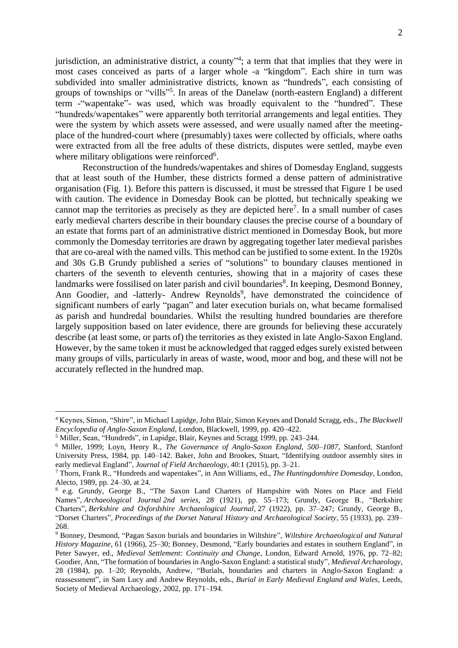jurisdiction, an administrative district, a county<sup>14</sup>; a term that that implies that they were in most cases conceived as parts of a larger whole -a "kingdom". Each shire in turn was subdivided into smaller administrative districts, known as "hundreds", each consisting of groups of townships or "vills" 5 . In areas of the Danelaw (north-eastern England) a different term -"wapentake"- was used, which was broadly equivalent to the "hundred". These "hundreds/wapentakes" were apparently both territorial arrangements and legal entities. They were the system by which assets were assessed, and were usually named after the meetingplace of the hundred-court where (presumably) taxes were collected by officials, where oaths were extracted from all the free adults of these districts, disputes were settled, maybe even where military obligations were reinforced<sup>6</sup>.

Reconstruction of the hundreds/wapentakes and shires of Domesday England, suggests that at least south of the Humber, these districts formed a dense pattern of administrative organisation (Fig. 1). Before this pattern is discussed, it must be stressed that Figure 1 be used with caution. The evidence in Domesday Book can be plotted, but technically speaking we cannot map the territories as precisely as they are depicted here<sup>7</sup>. In a small number of cases early medieval charters describe in their boundary clauses the precise course of a boundary of an estate that forms part of an administrative district mentioned in Domesday Book, but more commonly the Domesday territories are drawn by aggregating together later medieval parishes that are co-areal with the named vills. This method can be justified to some extent. In the 1920s and 30s G.B Grundy published a series of "solutions" to boundary clauses mentioned in charters of the seventh to eleventh centuries, showing that in a majority of cases these landmarks were fossilised on later parish and civil boundaries<sup>8</sup>. In keeping, Desmond Bonney, Ann Goodier, and -latterly- Andrew Reynolds<sup>9</sup>, have demonstrated the coincidence of significant numbers of early "pagan" and later execution burials on, what became formalised as parish and hundredal boundaries. Whilst the resulting hundred boundaries are therefore largely supposition based on later evidence, there are grounds for believing these accurately describe (at least some, or parts of) the territories as they existed in late Anglo-Saxon England. However, by the same token it must be acknowledged that ragged edges surely existed between many groups of vills, particularly in areas of waste, wood, moor and bog, and these will not be accurately reflected in the hundred map.

<sup>4</sup> Keynes, Simon, "Shire", in Michael Lapidge, John Blair, Simon Keynes and Donald Scragg, eds., *The Blackwell Encyclopedia of Anglo-Saxon England*, London, Blackwell, 1999, pp. 420–422.

<sup>5</sup> Miller, Sean, "Hundreds", in Lapidge, Blair, Keynes and Scragg 1999, pp. 243–244.

<sup>6</sup> Miller, 1999; Loyn, Henry R., *The Governance of Anglo-Saxon England, 500*–*1087*, Stanford, Stanford University Press, 1984, pp. 140–142. Baker, John and Brookes, Stuart, "Identifying outdoor assembly sites in early medieval England", *Journal of Field Archaeology*, 40:1 (2015), pp. 3–21.

<sup>7</sup> Thorn, Frank R., "Hundreds and wapentakes", in Ann Williams, ed., *The Huntingdonshire Domesday*, London, Alecto, 1989, pp. 24–30, at 24.

<sup>8</sup> e.g. Grundy, George B., "The Saxon Land Charters of Hampshire with Notes on Place and Field Names", *Archaeological Journal 2nd series*, 28 (1921), pp. 55–173; Grundy, George B., "Berkshire Charters", *Berkshire and Oxfordshire Archaeological Journal*, 27 (1922), pp. 37–247; Grundy, George B., "Dorset Charters", *Proceedings of the Dorset Natural History and Archaeological Society,* 55 (1933), pp. 239– 268.

<sup>9</sup> Bonney, Desmond, "Pagan Saxon burials and boundaries in Wiltshire", *Wiltshire Archaeological and Natural History Magazine*, 61 (1966), 25–30; Bonney, Desmond, "Early boundaries and estates in southern England", in Peter Sawyer, ed., *Medieval Settlement: Continuity and Change*, London, Edward Arnold, 1976, pp. 72–82; Goodier, Ann, "The formation of boundaries in Anglo-Saxon England: a statistical study", *Medieval Archaeology*, 28 (1984), pp. 1–20; Reynolds, Andrew, "Burials, boundaries and charters in Anglo-Saxon England: a reassessment", in Sam Lucy and Andrew Reynolds, eds., *Burial in Early Medieval England and Wales*, Leeds, Society of Medieval Archaeology, 2002, pp. 171–194.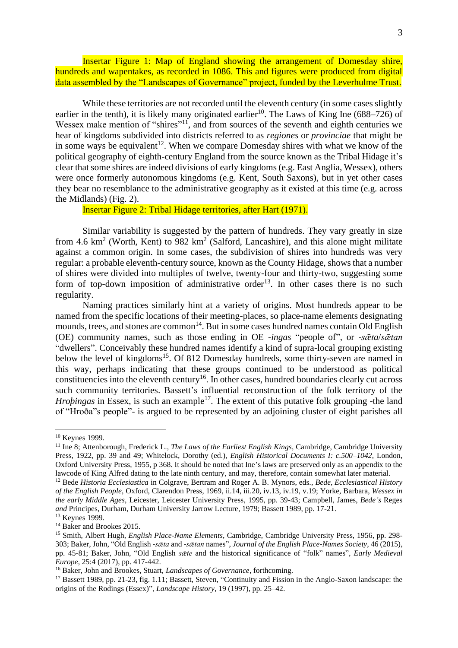Insertar Figure 1: Map of England showing the arrangement of Domesday shire, hundreds and wapentakes, as recorded in 1086. This and figures were produced from digital data assembled by the "Landscapes of Governance" project, funded by the Leverhulme Trust.

While these territories are not recorded until the eleventh century (in some cases slightly earlier in the tenth), it is likely many originated earlier<sup>10</sup>. The Laws of King Ine  $(688-726)$  of Wessex make mention of "shires"<sup>11</sup>, and from sources of the seventh and eighth centuries we hear of kingdoms subdivided into districts referred to as *regiones* or *provinciae* that might be in some ways be equivalent<sup>12</sup>. When we compare Domesday shires with what we know of the political geography of eighth-century England from the source known as the Tribal Hidage it's clear that some shires are indeed divisions of early kingdoms (e.g. East Anglia, Wessex), others were once formerly autonomous kingdoms (e.g. Kent, South Saxons), but in yet other cases they bear no resemblance to the administrative geography as it existed at this time (e.g. across the Midlands) (Fig. 2).

Insertar Figure 2: Tribal Hidage territories, after Hart (1971).

Similar variability is suggested by the pattern of hundreds. They vary greatly in size from 4.6  $\text{km}^2$  (Worth, Kent) to 982  $\text{km}^2$  (Salford, Lancashire), and this alone might militate against a common origin. In some cases, the subdivision of shires into hundreds was very regular: a probable eleventh-century source, known as the County Hidage, shows that a number of shires were divided into multiples of twelve, twenty-four and thirty-two, suggesting some form of top-down imposition of administrative order<sup>13</sup>. In other cases there is no such regularity.

Naming practices similarly hint at a variety of origins. Most hundreds appear to be named from the specific locations of their meeting-places, so place-name elements designating mounds, trees, and stones are common<sup>14</sup>. But in some cases hundred names contain Old English (OE) community names, such as those ending in OE -*ingas* "people of", or -*sǣta*/*sǣtan* "dwellers". Conceivably these hundred names identify a kind of supra-local grouping existing below the level of kingdoms<sup>15</sup>. Of 812 Domesday hundreds, some thirty-seven are named in this way, perhaps indicating that these groups continued to be understood as political constituencies into the eleventh century<sup>16</sup>. In other cases, hundred boundaries clearly cut across such community territories. Bassett's influential reconstruction of the folk territory of the *Hroþingas* in Essex, is such an example<sup>17</sup>. The extent of this putative folk grouping -the land of "Hroða"s people"- is argued to be represented by an adjoining cluster of eight parishes all

<sup>&</sup>lt;sup>10</sup> Keynes 1999.

<sup>11</sup> Ine 8; Attenborough, Frederick L., *The Laws of the Earliest English Kings*, Cambridge, Cambridge University Press, 1922, pp. 39 and 49; Whitelock, Dorothy (ed.), *English Historical Documents I: c.500–1042*, London, Oxford University Press, 1955, p 368. It should be noted that Ine's laws are preserved only as an appendix to the lawcode of King Alfred dating to the late ninth century, and may, therefore, contain somewhat later material.

<sup>12</sup> Bede *Historia Ecclesiastica* in Colgrave, Bertram and Roger A. B. Mynors, eds., *Bede, Ecclesiastical History of the English People*, Oxford, Clarendon Press, 1969, ii.14, iii.20, iv.13, iv.19, v.19; Yorke, Barbara, *Wessex in the early Middle Ages*, Leicester, Leicester University Press, 1995, pp. 39-43; Campbell, James, *Bede's* Reges *and* Principes, Durham, Durham University Jarrow Lecture, 1979; Bassett 1989, pp. 17-21.

<sup>&</sup>lt;sup>13</sup> Keynes 1999.

<sup>&</sup>lt;sup>14</sup> Baker and Brookes 2015.

<sup>15</sup> Smith, Albert Hugh, *English Place-Name Elements*, Cambridge, Cambridge University Press, 1956, pp. 298- 303; Baker, John, "Old English *-sǣta* and *-sǣtan* names", *Journal of the English Place-Names Society,* 46 (2015), pp. 45-81; Baker, John, "Old English *sǣte* and the historical significance of "folk" names", *Early Medieval Europe*, 25:4 (2017), pp. 417-442.

<sup>16</sup> Baker, John and Brookes, Stuart, *Landscapes of Governance*, forthcoming.

<sup>&</sup>lt;sup>17</sup> Bassett 1989, pp. 21-23, fig. 1.11; Bassett, Steven, "Continuity and Fission in the Anglo-Saxon landscape: the origins of the Rodings (Essex)", *Landscape History*, 19 (1997), pp. 25–42.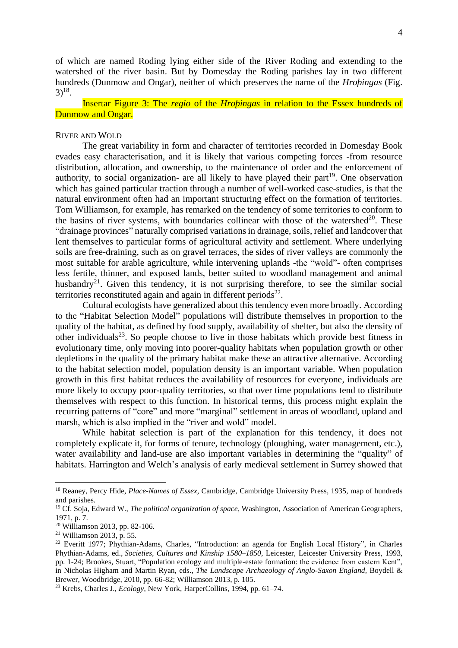of which are named Roding lying either side of the River Roding and extending to the watershed of the river basin. But by Domesday the Roding parishes lay in two different hundreds (Dunmow and Ongar), neither of which preserves the name of the *Hroþingas* (Fig.  $3)$ <sup>18</sup>.

Insertar Figure 3: The *regio* of the *Hroþingas* in relation to the Essex hundreds of Dunmow and Ongar.

#### RIVER AND WOLD

The great variability in form and character of territories recorded in Domesday Book evades easy characterisation, and it is likely that various competing forces -from resource distribution, allocation, and ownership, to the maintenance of order and the enforcement of authority, to social organization- are all likely to have played their part<sup>19</sup>. One observation which has gained particular traction through a number of well-worked case-studies, is that the natural environment often had an important structuring effect on the formation of territories. Tom Williamson, for example, has remarked on the tendency of some territories to conform to the basins of river systems, with boundaries collinear with those of the watershed $^{20}$ . These "drainage provinces" naturally comprised variations in drainage, soils, relief and landcover that lent themselves to particular forms of agricultural activity and settlement. Where underlying soils are free-draining, such as on gravel terraces, the sides of river valleys are commonly the most suitable for arable agriculture, while intervening uplands -the "wold"- often comprises less fertile, thinner, and exposed lands, better suited to woodland management and animal husbandry<sup>21</sup>. Given this tendency, it is not surprising therefore, to see the similar social territories reconstituted again and again in different periods $^{22}$ .

Cultural ecologists have generalized about this tendency even more broadly. According to the "Habitat Selection Model" populations will distribute themselves in proportion to the quality of the habitat, as defined by food supply, availability of shelter, but also the density of other individuals<sup>23</sup>. So people choose to live in those habitats which provide best fitness in evolutionary time, only moving into poorer-quality habitats when population growth or other depletions in the quality of the primary habitat make these an attractive alternative. According to the habitat selection model, population density is an important variable. When population growth in this first habitat reduces the availability of resources for everyone, individuals are more likely to occupy poor-quality territories, so that over time populations tend to distribute themselves with respect to this function. In historical terms, this process might explain the recurring patterns of "core" and more "marginal" settlement in areas of woodland, upland and marsh, which is also implied in the "river and wold" model.

While habitat selection is part of the explanation for this tendency, it does not completely explicate it, for forms of tenure, technology (ploughing, water management, etc.), water availability and land-use are also important variables in determining the "quality" of habitats. Harrington and Welch's analysis of early medieval settlement in Surrey showed that

<sup>18</sup> Reaney, Percy Hide, *Place-Names of Essex*, Cambridge, Cambridge University Press, 1935, map of hundreds and parishes.

<sup>19</sup> Cf. Soja, Edward W., *The political organization of space*, Washington, Association of American Geographers, 1971, p. 7.

<sup>20</sup> Williamson 2013, pp. 82-106.

<sup>21</sup> Williamson 2013, p. 55.

<sup>22</sup> Everitt 1977; Phythian-Adams, Charles, "Introduction: an agenda for English Local History", in Charles Phythian-Adams, ed., *Societies, Cultures and Kinship 1580–1850*, Leicester, Leicester University Press, 1993, pp. 1-24; Brookes, Stuart, "Population ecology and multiple-estate formation: the evidence from eastern Kent", in Nicholas Higham and Martin Ryan, eds., *The Landscape Archaeology of Anglo-Saxon England,* Boydell & Brewer, Woodbridge, 2010, pp. 66-82; Williamson 2013, p. 105.

<sup>23</sup> Krebs, Charles J., *Ecology*, New York, HarperCollins, 1994, pp. 61–74.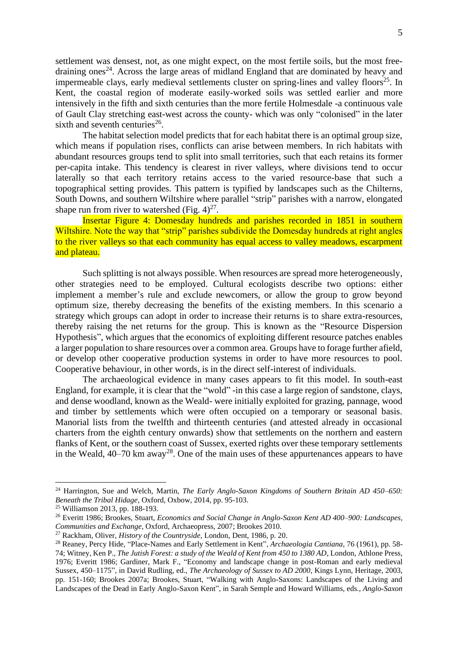settlement was densest, not, as one might expect, on the most fertile soils, but the most freedraining ones<sup>24</sup>. Across the large areas of midland England that are dominated by heavy and impermeable clays, early medieval settlements cluster on spring-lines and valley floors<sup>25</sup>. In Kent, the coastal region of moderate easily-worked soils was settled earlier and more intensively in the fifth and sixth centuries than the more fertile Holmesdale -a continuous vale of Gault Clay stretching east-west across the county- which was only "colonised" in the later sixth and seventh centuries<sup>26</sup>.

The habitat selection model predicts that for each habitat there is an optimal group size, which means if population rises, conflicts can arise between members. In rich habitats with abundant resources groups tend to split into small territories, such that each retains its former per-capita intake. This tendency is clearest in river valleys, where divisions tend to occur laterally so that each territory retains access to the varied resource-base that such a topographical setting provides. This pattern is typified by landscapes such as the Chilterns, South Downs, and southern Wiltshire where parallel "strip" parishes with a narrow, elongated shape run from river to watershed (Fig.  $4)^{27}$ .

Insertar Figure 4: Domesday hundreds and parishes recorded in 1851 in southern Wiltshire. Note the way that "strip" parishes subdivide the Domesday hundreds at right angles to the river valleys so that each community has equal access to valley meadows, escarpment and plateau.

Such splitting is not always possible. When resources are spread more heterogeneously, other strategies need to be employed. Cultural ecologists describe two options: either implement a member's rule and exclude newcomers, or allow the group to grow beyond optimum size, thereby decreasing the benefits of the existing members. In this scenario a strategy which groups can adopt in order to increase their returns is to share extra-resources, thereby raising the net returns for the group. This is known as the "Resource Dispersion Hypothesis", which argues that the economics of exploiting different resource patches enables a larger population to share resources over a common area. Groups have to forage further afield, or develop other cooperative production systems in order to have more resources to pool. Cooperative behaviour, in other words, is in the direct self-interest of individuals.

The archaeological evidence in many cases appears to fit this model. In south-east England, for example, it is clear that the "wold" -in this case a large region of sandstone, clays, and dense woodland, known as the Weald- were initially exploited for grazing, pannage, wood and timber by settlements which were often occupied on a temporary or seasonal basis. Manorial lists from the twelfth and thirteenth centuries (and attested already in occasional charters from the eighth century onwards) show that settlements on the northern and eastern flanks of Kent, or the southern coast of Sussex, exerted rights over these temporary settlements in the Weald,  $40-70$  km away<sup>28</sup>. One of the main uses of these appurtenances appears to have

<sup>24</sup> Harrington, Sue and Welch, Martin, *The Early Anglo-Saxon Kingdoms of Southern Britain AD 450–650: Beneath the Tribal Hidage*, Oxford, Oxbow, 2014, pp. 95-103.

<sup>25</sup> Williamson 2013, pp. 188-193.

<sup>26</sup> Everitt 1986; Brookes, Stuart, *Economics and Social Change in Anglo-Saxon Kent AD 400–900: Landscapes, Communities and Exchange*, Oxford, Archaeopress, 2007; Brookes 2010.

<sup>27</sup> Rackham, Oliver, *History of the Countryside*, London, Dent, 1986, p. 20.

<sup>28</sup> Reaney, Percy Hide, "Place-Names and Early Settlement in Kent", *Archaeologia Cantiana*, 76 (1961), pp. 58- 74; Witney, Ken P., *The Jutish Forest: a study of the Weald of Kent from 450 to 1380 AD*, London, Athlone Press, 1976; Everitt 1986; Gardiner, Mark F., "Economy and landscape change in post-Roman and early medieval Sussex, 450–1175", in David Rudling, ed., *The Archaeology of Sussex to AD 2000*, Kings Lynn, Heritage, 2003, pp. 151-160; Brookes 2007a; Brookes, Stuart, "Walking with Anglo-Saxons: Landscapes of the Living and Landscapes of the Dead in Early Anglo-Saxon Kent", in Sarah Semple and Howard Williams, eds., *Anglo-Saxon*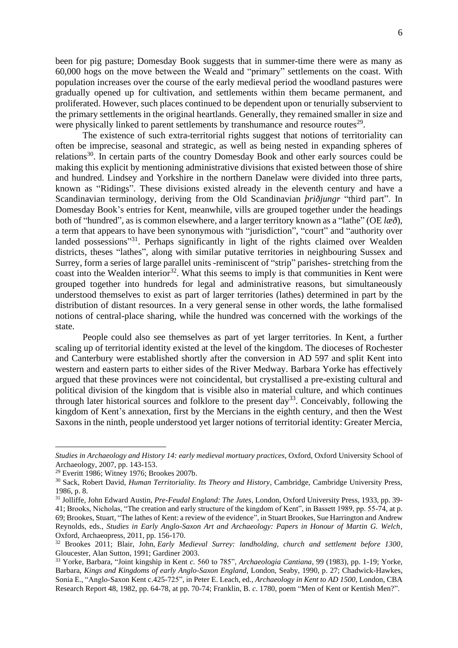been for pig pasture; Domesday Book suggests that in summer-time there were as many as 60,000 hogs on the move between the Weald and "primary" settlements on the coast. With population increases over the course of the early medieval period the woodland pastures were gradually opened up for cultivation, and settlements within them became permanent, and proliferated. However, such places continued to be dependent upon or tenurially subservient to the primary settlements in the original heartlands. Generally, they remained smaller in size and were physically linked to parent settlements by transhumance and resource routes<sup>29</sup>.

The existence of such extra-territorial rights suggest that notions of territoriality can often be imprecise, seasonal and strategic, as well as being nested in expanding spheres of relations<sup>30</sup>. In certain parts of the country Domesday Book and other early sources could be making this explicit by mentioning administrative divisions that existed between those of shire and hundred. Lindsey and Yorkshire in the northern Danelaw were divided into three parts, known as "Ridings". These divisions existed already in the eleventh century and have a Scandinavian terminology, deriving from the Old Scandinavian *þriðjungr* "third part". In Domesday Book's entries for Kent, meanwhile, vills are grouped together under the headings both of "hundred", as is common elsewhere, and a larger territory known as a "lathe" (OE *læð*), a term that appears to have been synonymous with "jurisdiction", "court" and "authority over landed possessions"<sup>31</sup>. Perhaps significantly in light of the rights claimed over Wealden districts, theses "lathes", along with similar putative territories in neighbouring Sussex and Surrey, form a series of large parallel units -reminiscent of "strip" parishes- stretching from the coast into the Wealden interior<sup>32</sup>. What this seems to imply is that communities in Kent were grouped together into hundreds for legal and administrative reasons, but simultaneously understood themselves to exist as part of larger territories (lathes) determined in part by the distribution of distant resources. In a very general sense in other words, the lathe formalised notions of central-place sharing, while the hundred was concerned with the workings of the state.

People could also see themselves as part of yet larger territories. In Kent, a further scaling up of territorial identity existed at the level of the kingdom. The dioceses of Rochester and Canterbury were established shortly after the conversion in AD 597 and split Kent into western and eastern parts to either sides of the River Medway. Barbara Yorke has effectively argued that these provinces were not coincidental, but crystallised a pre-existing cultural and political division of the kingdom that is visible also in material culture, and which continues through later historical sources and folklore to the present day<sup>33</sup>. Conceivably, following the kingdom of Kent's annexation, first by the Mercians in the eighth century, and then the West Saxons in the ninth, people understood yet larger notions of territorial identity: Greater Mercia,

*Studies in Archaeology and History 14: early medieval mortuary practices*, Oxford, Oxford University School of Archaeology, 2007, pp. 143-153.

 $29$  Everitt 1986; Witney 1976; Brookes 2007b.

<sup>30</sup> Sack, Robert David, *Human Territoriality. Its Theory and History*, Cambridge, Cambridge University Press, 1986, p. 8.

<sup>31</sup> Jolliffe, John Edward Austin, *Pre-Feudal England: The Jutes*, London, Oxford University Press, 1933, pp. 39- 41; Brooks, Nicholas, "The creation and early structure of the kingdom of Kent", in Bassett 1989, pp. 55-74, at p. 69; Brookes, Stuart, "The lathes of Kent: a review of the evidence", in Stuart Brookes, Sue Harrington and Andrew Reynolds, eds., *Studies in Early Anglo-Saxon Art and Archaeology: Papers in Honour of Martin G. Welch*, Oxford, Archaeopress, 2011, pp. 156-170.

<sup>32</sup> Brookes 2011; Blair, John, *Early Medieval Surrey: landholding, church and settlement before 1300*, Gloucester, Alan Sutton, 1991; Gardiner 2003.

<sup>33</sup> Yorke, Barbara, "Joint kingship in Kent *c.* 560 to 785", *Archaeologia Cantiana*, 99 (1983), pp. 1-19; Yorke, Barbara, *Kings and Kingdoms of early Anglo-Saxon England*, London, Seaby, 1990, p. 27; Chadwick-Hawkes, Sonia E., "Anglo-Saxon Kent c.425-725", in Peter E. Leach, ed., *Archaeology in Kent to AD 1500*, London, CBA Research Report 48, 1982, pp. 64-78, at pp. 70-74; Franklin, B. *c*. 1780, poem "Men of Kent or Kentish Men?".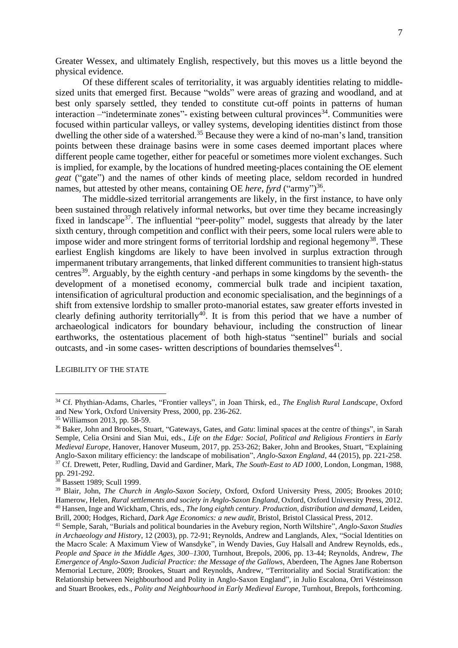Greater Wessex, and ultimately English, respectively, but this moves us a little beyond the physical evidence.

Of these different scales of territoriality, it was arguably identities relating to middlesized units that emerged first. Because "wolds" were areas of grazing and woodland, and at best only sparsely settled, they tended to constitute cut-off points in patterns of human interaction – "indeterminate zones" - existing between cultural provinces<sup>34</sup>. Communities were focused within particular valleys, or valley systems, developing identities distinct from those dwelling the other side of a watershed.<sup>35</sup> Because they were a kind of no-man's land, transition points between these drainage basins were in some cases deemed important places where different people came together, either for peaceful or sometimes more violent exchanges. Such is implied, for example, by the locations of hundred meeting-places containing the OE element *geat* ("gate") and the names of other kinds of meeting place, seldom recorded in hundred names, but attested by other means, containing OE *here*, *fyrd* ("army")<sup>36</sup>.

The middle-sized territorial arrangements are likely, in the first instance, to have only been sustained through relatively informal networks, but over time they became increasingly fixed in landscape<sup>37</sup>. The influential "peer-polity" model, suggests that already by the later sixth century, through competition and conflict with their peers, some local rulers were able to impose wider and more stringent forms of territorial lordship and regional hegemony<sup>38</sup>. These earliest English kingdoms are likely to have been involved in surplus extraction through impermanent tributary arrangements, that linked different communities to transient high-status centres<sup>39</sup>. Arguably, by the eighth century -and perhaps in some kingdoms by the seventh- the development of a monetised economy, commercial bulk trade and incipient taxation, intensification of agricultural production and economic specialisation, and the beginnings of a shift from extensive lordship to smaller proto-manorial estates, saw greater efforts invested in clearly defining authority territorially<sup>40</sup>. It is from this period that we have a number of archaeological indicators for boundary behaviour, including the construction of linear earthworks, the ostentatious placement of both high-status "sentinel" burials and social outcasts, and -in some cases- written descriptions of boundaries themselves $41$ .

LEGIBILITY OF THE STATE

<sup>34</sup> Cf. Phythian-Adams, Charles, "Frontier valleys", in Joan Thirsk, ed., *The English Rural Landscape*, Oxford and New York, Oxford University Press, 2000, pp. 236-262.

<sup>35</sup> Williamson 2013, pp. 58-59.

<sup>36</sup> Baker, John and Brookes, Stuart, "Gateways, Gates, and *Gatu*: liminal spaces at the centre of things", in Sarah Semple, Celia Orsini and Sian Mui, eds., *Life on the Edge: Social, Political and Religious Frontiers in Early Medieval Europe*, Hanover, Hanover Museum, 2017, pp. 253-262; Baker, John and Brookes, Stuart, "Explaining Anglo-Saxon military efficiency: the landscape of mobilisation", *Anglo-Saxon England*, 44 (2015), pp. 221-258. <sup>37</sup> Cf. Drewett, Peter, Rudling, David and Gardiner, Mark, *The South-East to AD 1000*, London, Longman, 1988,

pp. 291-292.

<sup>38</sup> Bassett 1989; Scull 1999.

<sup>39</sup> Blair, John, *The Church in Anglo-Saxon Society*, Oxford, Oxford University Press, 2005; Brookes 2010; Hamerow, Helen, *Rural settlements and society in Anglo-Saxon England,* Oxford, Oxford University Press, 2012. <sup>40</sup> Hansen, Inge and Wickham, Chris, eds., *The long eighth century*. *Production, distribution and demand,* Leiden, Brill, 2000; Hodges, Richard, *Dark Age Economics: a new audit*, Bristol, Bristol Classical Press, 2012.

<sup>41</sup> Semple, Sarah, "Burials and political boundaries in the Avebury region, North Wiltshire", *Anglo-Saxon Studies in Archaeology and History*, 12 (2003), pp. 72-91; Reynolds, Andrew and Langlands, Alex, "Social Identities on the Macro Scale: A Maximum View of Wansdyke", in Wendy Davies, Guy Halsall and Andrew Reynolds, eds., *People and Space in the Middle Ages, 300*–*1300*, Turnhout, Brepols, 2006, pp. 13-44; Reynolds, Andrew, *The Emergence of Anglo-Saxon Judicial Practice: the Message of the Gallows*, Aberdeen, The Agnes Jane Robertson Memorial Lecture, 2009; Brookes, Stuart and Reynolds, Andrew, "Territoriality and Social Stratification: the Relationship between Neighbourhood and Polity in Anglo-Saxon England", in Julio Escalona, Orri Vésteinsson and Stuart Brookes, eds., *Polity and Neighbourhood in Early Medieval Europe*, Turnhout, Brepols, forthcoming.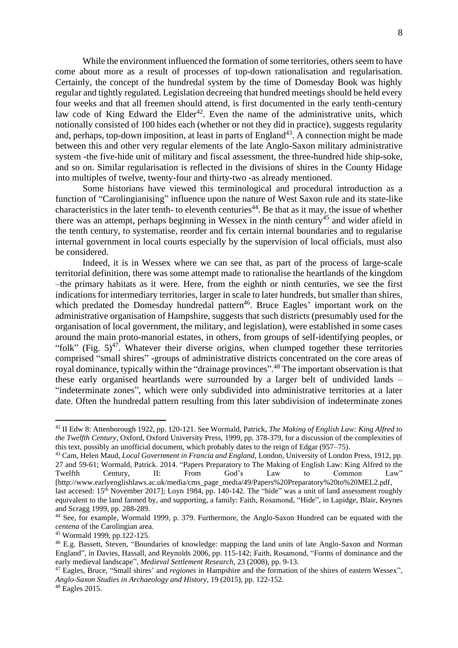While the environment influenced the formation of some territories, others seem to have come about more as a result of processes of top-down rationalisation and regularisation. Certainly, the concept of the hundredal system by the time of Domesday Book was highly regular and tightly regulated. Legislation decreeing that hundred meetings should be held every four weeks and that all freemen should attend, is first documented in the early tenth-century law code of King Edward the Elder<sup>42</sup>. Even the name of the administrative units, which notionally consisted of 100 hides each (whether or not they did in practice), suggests regularity and, perhaps, top-down imposition, at least in parts of England<sup>43</sup>. A connection might be made between this and other very regular elements of the late Anglo-Saxon military administrative system -the five-hide unit of military and fiscal assessment, the three-hundred hide ship-soke, and so on. Similar regularisation is reflected in the divisions of shires in the County Hidage into multiples of twelve, twenty-four and thirty-two -as already mentioned.

Some historians have viewed this terminological and procedural introduction as a function of "Carolingianising" influence upon the nature of West Saxon rule and its state-like characteristics in the later tenth- to eleventh centuries<sup> $44$ </sup>. Be that as it may, the issue of whether there was an attempt, perhaps beginning in Wessex in the ninth century<sup>45</sup> and wider afield in the tenth century, to systematise, reorder and fix certain internal boundaries and to regularise internal government in local courts especially by the supervision of local officials, must also be considered.

Indeed, it is in Wessex where we can see that, as part of the process of large-scale territorial definition, there was some attempt made to rationalise the heartlands of the kingdom –the primary habitats as it were. Here, from the eighth or ninth centuries, we see the first indications for intermediary territories, larger in scale to later hundreds, but smaller than shires, which predated the Domesday hundredal pattern<sup>46</sup>. Bruce Eagles' important work on the administrative organisation of Hampshire, suggests that such districts (presumably used for the organisation of local government, the military, and legislation), were established in some cases around the main proto-manorial estates, in others, from groups of self-identifying peoples, or "folk" (Fig.  $5)^{47}$ . Whatever their diverse origins, when clumped together these territories comprised "small shires" -groups of administrative districts concentrated on the core areas of royal dominance, typically within the "drainage provinces".<sup>48</sup> The important observation is that these early organised heartlands were surrounded by a larger belt of undivided lands – "indeterminate zones", which were only subdivided into administrative territories at a later date. Often the hundredal pattern resulting from this later subdivision of indeterminate zones

<sup>42</sup> II Edw 8: Attenborough 1922, pp. 120-121. See Wormald, Patrick, *The Making of English Law: King Alfred to the Twelfth Century*, Oxford, Oxford University Press, 1999, pp. 378-379, for a discussion of the complexities of this text, possibly an unofficial document, which probably dates to the reign of Edgar (957–75).

<sup>43</sup> Cam, Helen Maud, *Local Government in Francia and England*, London, University of London Press, 1912, pp. 27 and 59-61; Wormald, Patrick. 2014. "Papers Preparatory to The Making of English Law: King Alfred to the Twelfth Century, II: From God's Law to Common Law" [http://www.earlyenglishlaws.ac.uk/media/cms\_page\_media/49/Papers%20Preparatory%20to%20MEL2.pdf, last accesed: 15<sup>th</sup> November 2017]; Loyn 1984, pp. 140-142. The "hide" was a unit of land assessment roughly equivalent to the land farmed by, and supporting, a family: Faith, Rosamond, "Hide", in Lapidge, Blair, Keynes and Scragg 1999, pp. 288-289.

<sup>44</sup> See, for example, Wormald 1999, p. 379. Furthermore, the Anglo-Saxon Hundred can be equated with the *centena* of the Carolingian area.

<sup>45</sup> Wormald 1999, pp.122-125.

<sup>46</sup> E.g. Bassett, Steven, "Boundaries of knowledge: mapping the land units of late Anglo-Saxon and Norman England", in Davies, Hassall, and Reynolds 2006, pp. 115-142; Faith, Rosamond, "Forms of dominance and the early medieval landscape", *Medieval Settlement Research*, 23 (2008), pp. 9-13.

<sup>47</sup> Eagles, Bruce, "Small shires' and *regiones* in Hampshire and the formation of the shires of eastern Wessex", *Anglo-Saxon Studies in Archaeology and History*, 19 (2015), pp. 122-152.

<sup>48</sup> Eagles 2015.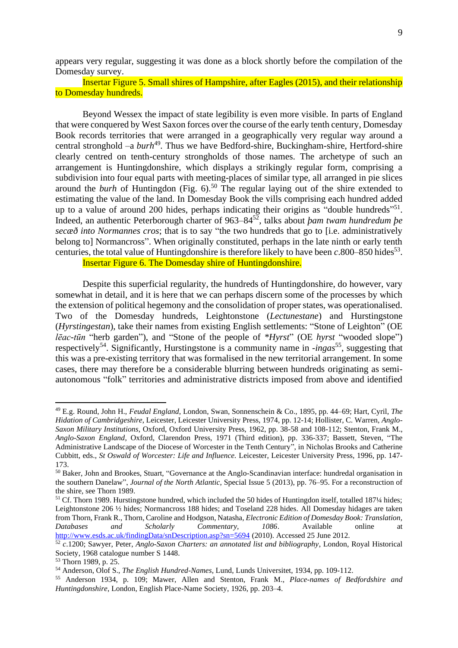appears very regular, suggesting it was done as a block shortly before the compilation of the Domesday survey.

Insertar Figure 5. Small shires of Hampshire, after Eagles (2015), and their relationship to Domesday hundreds.

Beyond Wessex the impact of state legibility is even more visible. In parts of England that were conquered by West Saxon forces over the course of the early tenth century, Domesday Book records territories that were arranged in a geographically very regular way around a central stronghold -a burh<sup>49</sup>. Thus we have Bedford-shire, Buckingham-shire, Hertford-shire clearly centred on tenth-century strongholds of those names. The archetype of such an arrangement is Huntingdonshire, which displays a strikingly regular form, comprising a subdivision into four equal parts with meeting-places of similar type, all arranged in pie slices around the *burh* of Huntingdon (Fig. 6).<sup>50</sup> The regular laying out of the shire extended to estimating the value of the land. In Domesday Book the vills comprising each hundred added up to a value of around 200 hides, perhaps indicating their origins as "double hundreds"<sup>51</sup>. Indeed, an authentic Peterborough charter of 963–84<sup>52</sup> , talks about *þam twam hundredum þe secæð into Normannes cros*; that is to say "the two hundreds that go to [i.e. administratively belong to] Normancross". When originally constituted, perhaps in the late ninth or early tenth centuries, the total value of Huntingdonshire is therefore likely to have been  $c$ .800–850 hides<sup>53</sup>. Insertar Figure 6. The Domesday shire of Huntingdonshire.

Despite this superficial regularity, the hundreds of Huntingdonshire, do however, vary

somewhat in detail, and it is here that we can perhaps discern some of the processes by which the extension of political hegemony and the consolidation of proper states, was operationalised. Two of the Domesday hundreds, Leightonstone (*Lectunestane*) and Hurstingstone (*Hyrstingestan*), take their names from existing English settlements: "Stone of Leighton" (OE *lēac-tūn* "herb garden"), and "Stone of the people of *\*Hyrst*" (OE *hyrst* "wooded slope") respectively<sup>54</sup>. Significantly, Hurstingstone is a community name in -*ingas*<sup>55</sup>, suggesting that this was a pre-existing territory that was formalised in the new territorial arrangement. In some cases, there may therefore be a considerable blurring between hundreds originating as semiautonomous "folk" territories and administrative districts imposed from above and identified

<sup>49</sup> E.g. Round, John H., *Feudal England*, London, Swan, Sonnenschein & Co., 1895, pp. 44–69; Hart, Cyril, *The Hidation of Cambridgeshire*, Leicester, Leicester University Press, 1974, pp. 12-14; Hollister, C. Warren, *Anglo-Saxon Military Institutions*, Oxford, Oxford University Press, 1962, pp. 38-58 and 108-112; Stenton, Frank M., *Anglo-Saxon England*, Oxford, Clarendon Press, 1971 (Third edition), pp. 336-337; Bassett, Steven, "The Administrative Landscape of the Diocese of Worcester in the Tenth Century", in Nicholas Brooks and Catherine Cubbitt, eds., *St Oswald of Worcester: Life and Influence.* Leicester, Leicester University Press, 1996, pp. 147- 173.

<sup>&</sup>lt;sup>50</sup> Baker, John and Brookes, Stuart, "Governance at the Anglo-Scandinavian interface: hundredal organisation in the southern Danelaw", *Journal of the North Atlantic*, Special Issue 5 (2013), pp. 76–95. For a reconstruction of the shire, see Thorn 1989.

 $51$  Cf. Thorn 1989. Hurstingstone hundred, which included the 50 hides of Huntingdon itself, totalled 187 $\frac{1}{4}$  hides; Leightonstone 206 ½ hides; Normancross 188 hides; and Toseland 228 hides. All Domesday hidages are taken from Thorn, Frank R., Thorn, Caroline and Hodgson, Natasha, *Electronic Edition of Domesday Book: Translation, Databases and Scholarly Commentary, 1086*. Available online at <http://www.esds.ac.uk/findingData/snDescription.asp?sn=5694> (2010). Accessed 25 June 2012.

<sup>52</sup> *c*.1200; Sawyer, Peter, *Anglo-Saxon Charters: an annotated list and bibliography*, London, Royal Historical Society, 1968 catalogue number S 1448.

<sup>53</sup> Thorn 1989, p. 25.

<sup>54</sup> Anderson, Olof S., *The English Hundred-Names*, Lund, Lunds Universitet, 1934, pp. 109-112.

<sup>55</sup> Anderson 1934, p. 109; Mawer, Allen and Stenton, Frank M., *Place-names of Bedfordshire and Huntingdonshire*, London, English Place-Name Society, 1926, pp. 203–4.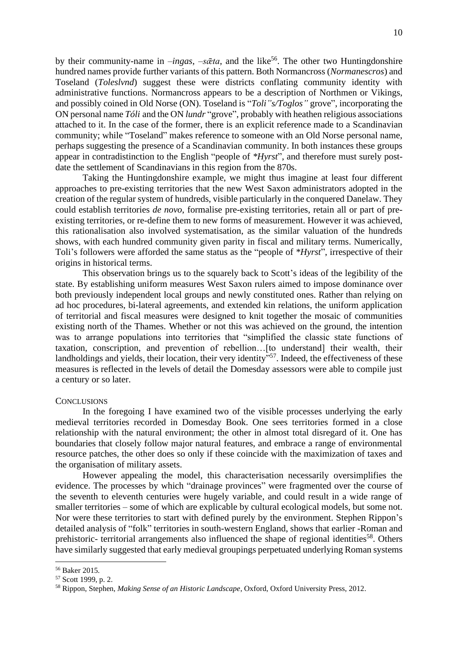by their community-name in *-ingas*, *-s* $\bar{\alpha}$ ta, and the like<sup>56</sup>. The other two Huntingdonshire hundred names provide further variants of this pattern. Both Normancross (*Normanescros*) and Toseland (*Toleslvnd*) suggest these were districts conflating community identity with administrative functions. Normancross appears to be a description of Northmen or Vikings, and possibly coined in Old Norse (ON). Toseland is "*Toli"s/Toglos"* grove", incorporating the ON personal name *Tóli* and the ON *lundr* "grove", probably with heathen religious associations attached to it. In the case of the former, there is an explicit reference made to a Scandinavian community; while "Toseland" makes reference to someone with an Old Norse personal name, perhaps suggesting the presence of a Scandinavian community. In both instances these groups appear in contradistinction to the English "people of *\*Hyrst*", and therefore must surely postdate the settlement of Scandinavians in this region from the 870s.

Taking the Huntingdonshire example, we might thus imagine at least four different approaches to pre-existing territories that the new West Saxon administrators adopted in the creation of the regular system of hundreds, visible particularly in the conquered Danelaw. They could establish territories *de novo*, formalise pre-existing territories, retain all or part of preexisting territories, or re-define them to new forms of measurement. However it was achieved, this rationalisation also involved systematisation, as the similar valuation of the hundreds shows, with each hundred community given parity in fiscal and military terms. Numerically, Toli's followers were afforded the same status as the "people of *\*Hyrst*", irrespective of their origins in historical terms.

This observation brings us to the squarely back to Scott's ideas of the legibility of the state. By establishing uniform measures West Saxon rulers aimed to impose dominance over both previously independent local groups and newly constituted ones. Rather than relying on ad hoc procedures, bi-lateral agreements, and extended kin relations, the uniform application of territorial and fiscal measures were designed to knit together the mosaic of communities existing north of the Thames. Whether or not this was achieved on the ground, the intention was to arrange populations into territories that "simplified the classic state functions of taxation, conscription, and prevention of rebellion…[to understand] their wealth, their landholdings and yields, their location, their very identity"<sup>57</sup>. Indeed, the effectiveness of these measures is reflected in the levels of detail the Domesday assessors were able to compile just a century or so later.

#### **CONCLUSIONS**

In the foregoing I have examined two of the visible processes underlying the early medieval territories recorded in Domesday Book. One sees territories formed in a close relationship with the natural environment; the other in almost total disregard of it. One has boundaries that closely follow major natural features, and embrace a range of environmental resource patches, the other does so only if these coincide with the maximization of taxes and the organisation of military assets.

However appealing the model, this characterisation necessarily oversimplifies the evidence. The processes by which "drainage provinces" were fragmented over the course of the seventh to eleventh centuries were hugely variable, and could result in a wide range of smaller territories – some of which are explicable by cultural ecological models, but some not. Nor were these territories to start with defined purely by the environment. Stephen Rippon's detailed analysis of "folk" territories in south-western England, shows that earlier -Roman and prehistoric- territorial arrangements also influenced the shape of regional identities<sup>58</sup>. Others have similarly suggested that early medieval groupings perpetuated underlying Roman systems

<sup>56</sup> Baker 2015*.*

<sup>57</sup> Scott 1999, p. 2.

<sup>58</sup> Rippon, Stephen, *Making Sense of an Historic Landscape*, Oxford, Oxford University Press, 2012.